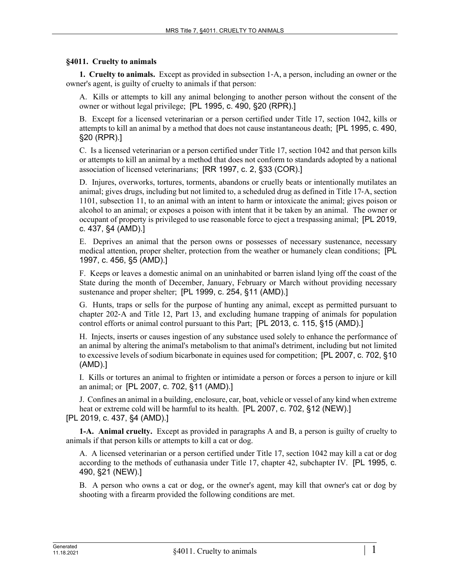## **§4011. Cruelty to animals**

**1. Cruelty to animals.** Except as provided in subsection 1‑A, a person, including an owner or the owner's agent, is guilty of cruelty to animals if that person:

A. Kills or attempts to kill any animal belonging to another person without the consent of the owner or without legal privilege; [PL 1995, c. 490, §20 (RPR).]

B. Except for a licensed veterinarian or a person certified under Title 17, section 1042, kills or attempts to kill an animal by a method that does not cause instantaneous death; [PL 1995, c. 490, §20 (RPR).]

C. Is a licensed veterinarian or a person certified under Title 17, section 1042 and that person kills or attempts to kill an animal by a method that does not conform to standards adopted by a national association of licensed veterinarians; [RR 1997, c. 2, §33 (COR).]

D. Injures, overworks, tortures, torments, abandons or cruelly beats or intentionally mutilates an animal; gives drugs, including but not limited to, a scheduled drug as defined in Title 17‑A, section 1101, subsection 11, to an animal with an intent to harm or intoxicate the animal; gives poison or alcohol to an animal; or exposes a poison with intent that it be taken by an animal. The owner or occupant of property is privileged to use reasonable force to eject a trespassing animal; [PL 2019, c. 437, §4 (AMD).]

E. Deprives an animal that the person owns or possesses of necessary sustenance, necessary medical attention, proper shelter, protection from the weather or humanely clean conditions; [PL 1997, c. 456, §5 (AMD).]

F. Keeps or leaves a domestic animal on an uninhabited or barren island lying off the coast of the State during the month of December, January, February or March without providing necessary sustenance and proper shelter; [PL 1999, c. 254, §11 (AMD).]

G. Hunts, traps or sells for the purpose of hunting any animal, except as permitted pursuant to chapter 202‑A and Title 12, Part 13, and excluding humane trapping of animals for population control efforts or animal control pursuant to this Part; [PL 2013, c. 115, §15 (AMD).]

H. Injects, inserts or causes ingestion of any substance used solely to enhance the performance of an animal by altering the animal's metabolism to that animal's detriment, including but not limited to excessive levels of sodium bicarbonate in equines used for competition; [PL 2007, c. 702, §10 (AMD).]

I. Kills or tortures an animal to frighten or intimidate a person or forces a person to injure or kill an animal; or [PL 2007, c. 702, §11 (AMD).]

J. Confines an animal in a building, enclosure, car, boat, vehicle or vessel of any kind when extreme heat or extreme cold will be harmful to its health. [PL 2007, c. 702, §12 (NEW).] [PL 2019, c. 437, §4 (AMD).]

**1-A. Animal cruelty.** Except as provided in paragraphs A and B, a person is guilty of cruelty to animals if that person kills or attempts to kill a cat or dog.

A. A licensed veterinarian or a person certified under Title 17, section 1042 may kill a cat or dog according to the methods of euthanasia under Title 17, chapter 42, subchapter IV. [PL 1995, c. 490, §21 (NEW).]

B. A person who owns a cat or dog, or the owner's agent, may kill that owner's cat or dog by shooting with a firearm provided the following conditions are met.